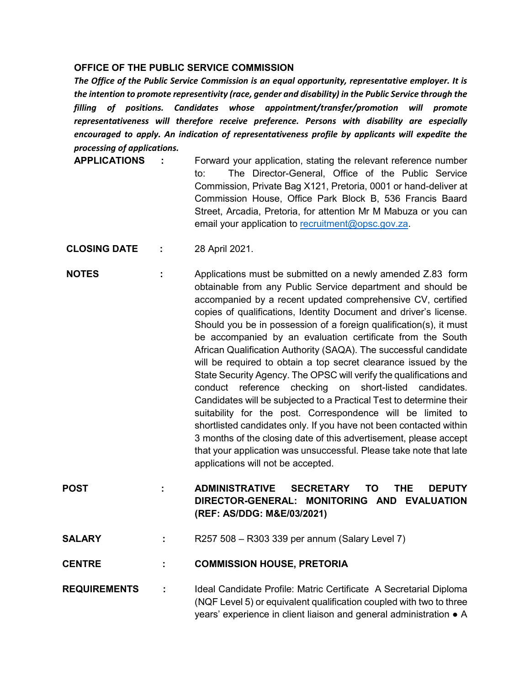## **OFFICE OF THE PUBLIC SERVICE COMMISSION**

*The Office of the Public Service Commission is an equal opportunity, representative employer. It is the intention to promote representivity (race, gender and disability) in the Public Service through the filling of positions. Candidates whose appointment/transfer/promotion will promote representativeness will therefore receive preference. Persons with disability are especially encouraged to apply. An indication of representativeness profile by applicants will expedite the processing of applications.* 

- **APPLICATIONS :** Forward your application, stating the relevant reference number to: The Director-General, Office of the Public Service Commission, Private Bag X121, Pretoria, 0001 or hand-deliver at Commission House, Office Park Block B, 536 Francis Baard Street, Arcadia, Pretoria, for attention Mr M Mabuza or you can email your application to [recruitment@opsc.gov.za.](mailto:recruitment@opsc.gov.za)
- **CLOSING DATE :** 28 April 2021.
- **NOTES** : Applications must be submitted on a newly amended Z.83 form obtainable from any Public Service department and should be accompanied by a recent updated comprehensive CV, certified copies of qualifications, Identity Document and driver's license. Should you be in possession of a foreign qualification(s), it must be accompanied by an evaluation certificate from the South African Qualification Authority (SAQA). The successful candidate will be required to obtain a top secret clearance issued by the State Security Agency. The OPSC will verify the qualifications and conduct reference checking on short-listed candidates. Candidates will be subjected to a Practical Test to determine their suitability for the post. Correspondence will be limited to shortlisted candidates only. If you have not been contacted within 3 months of the closing date of this advertisement, please accept that your application was unsuccessful. Please take note that late applications will not be accepted.
- **POST : ADMINISTRATIVE SECRETARY TO THE DEPUTY DIRECTOR-GENERAL: MONITORING AND EVALUATION (REF: AS/DDG: M&E/03/2021)**
- **SALARY :** R257 508 R303 339 per annum (Salary Level 7)

**CENTRE : COMMISSION HOUSE, PRETORIA**

**REQUIREMENTS :** Ideal Candidate Profile: Matric Certificate A Secretarial Diploma (NQF Level 5) or equivalent qualification coupled with two to three years' experience in client liaison and general administration ● A